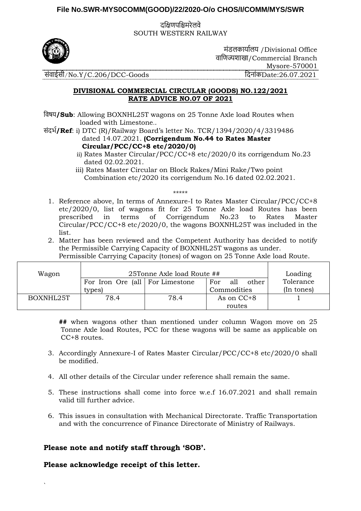## **File No.SWR-MYS0COMM(GOOD)/22/2020-O/o CHOS/I/COMM/MYS/SWR**

दक्षिणपक्षिमरेलवे SOUTH WESTERN RAILWAY



मंडलकार्ाालर् /Divisional Office वाक्षणज्यशाखा/Commercial Branch Mysore-570001 संवाईसी/No.Y/C.206/DCC-Goods दिनांकDate:26.07.2021

## **DIVISIONAL COMMERCIAL CIRCULAR (GOODS) NO.122/2021 RATE ADVICE NO.07 OF 2021**

- क्षवषर्**/Sub**: Allowing BOXNHL25T wagons on 25 Tonne Axle load Routes when loaded with Limestone..
- संदर्ा**/Ref**: i) DTC (R)/Railway Board's letter No. TCR/1394/2020/4/3319486 dated 14.07.2021. **(Corrigendum No.44 to Rates Master Circular/PCC/CC+8 etc/2020/0)**
	- ii) Rates Master Circular/PCC/CC+8 etc/2020/0 its corrigendum No.23 dated 02.02.2021.
	- iii) Rates Master Circular on Block Rakes/Mini Rake/Two point Combination etc/2020 its corrigendum No.16 dated 02.02.2021.

\*\*\*\*\*

- 1. Reference above, In terms of Annexure-I to Rates Master Circular/PCC/CC+8 etc/2020/0, list of wagons fit for 25 Tonne Axle load Routes has been prescribed in terms of Corrigendum No.23 to Rates Master Circular/PCC/CC+8 etc/2020/0, the wagons BOXNHL25T was included in the list.
- 2. Matter has been reviewed and the Competent Authority has decided to notify the Permissible Carrying Capacity of BOXNHL25T wagons as under. Permissible Carrying Capacity (tones) of wagon on 25 Tonne Axle load Route.

| Wagon     | 25Tonne Axle load Route ##      |      |                     | Loading    |
|-----------|---------------------------------|------|---------------------|------------|
|           | For Iron Ore (all For Limestone |      | all<br>For<br>other | Tolerance  |
|           | types)                          |      | Commodities         | (In tones) |
| BOXNHL25T | 78.4                            | 78.4 | As on CC+8          |            |
|           |                                 |      | routes              |            |

**##** when wagons other than mentioned under column Wagon move on 25 Tonne Axle load Routes, PCC for these wagons will be same as applicable on CC+8 routes.

- 3. Accordingly Annexure-I of Rates Master Circular/PCC/CC+8 etc/2020/0 shall be modified.
- 4. All other details of the Circular under reference shall remain the same.
- 5. These instructions shall come into force w.e.f 16.07.2021 and shall remain valid till further advice.
- 6. This issues in consultation with Mechanical Directorate. Traffic Transportation and with the concurrence of Finance Directorate of Ministry of Railways.

**Please note and notify staff through 'SOB'.**

**Please acknowledge receipt of this letter.**

`